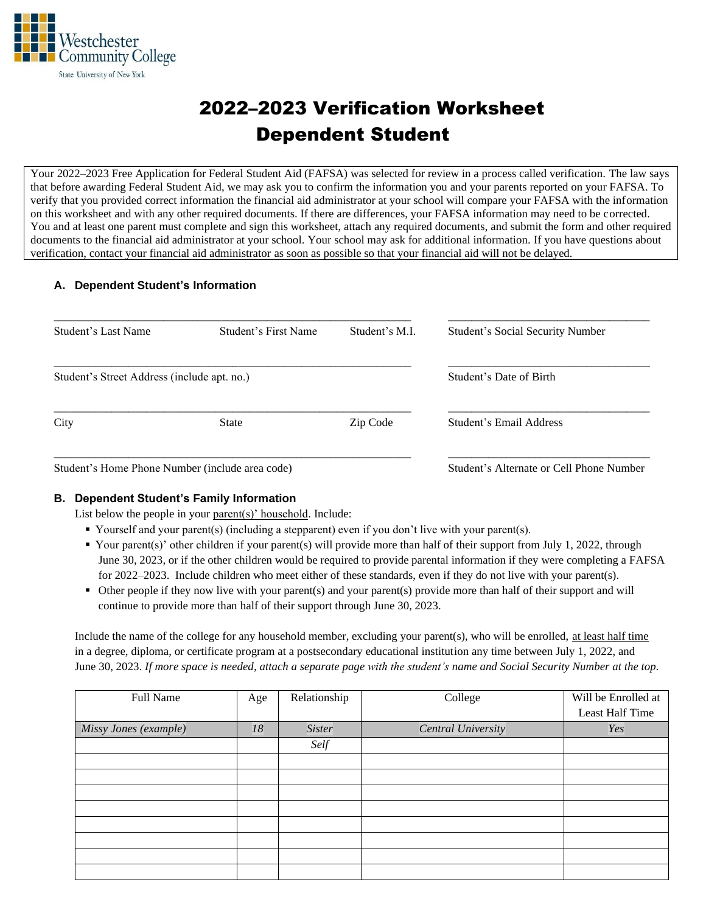

# 2022–2023 Verification Worksheet Dependent Student

Your 2022–2023 Free Application for Federal Student Aid (FAFSA) was selected for review in a process called verification. The law says that before awarding Federal Student Aid, we may ask you to confirm the information you and your parents reported on your FAFSA. To verify that you provided correct information the financial aid administrator at your school will compare your FAFSA with the information on this worksheet and with any other required documents. If there are differences, your FAFSA information may need to be corrected. You and at least one parent must complete and sign this worksheet, attach any required documents, and submit the form and other required documents to the financial aid administrator at your school. Your school may ask for additional information. If you have questions about verification, contact your financial aid administrator as soon as possible so that your financial aid will not be delayed.

### **A. Dependent Student's Information**

| <b>Student's Last Name</b>                                                                                                                                                                                                                                                                                                                                                                                                    | Student's First Name | Student's M.I.          | <b>Student's Social Security Number</b>           |
|-------------------------------------------------------------------------------------------------------------------------------------------------------------------------------------------------------------------------------------------------------------------------------------------------------------------------------------------------------------------------------------------------------------------------------|----------------------|-------------------------|---------------------------------------------------|
| Student's Street Address (include apt. no.)                                                                                                                                                                                                                                                                                                                                                                                   |                      | Student's Date of Birth |                                                   |
| City                                                                                                                                                                                                                                                                                                                                                                                                                          | <b>State</b>         | Zip Code                | Student's Email Address                           |
| $\mathcal{C}_{\text{tr}}$ $\mathcal{C}_{\text{tr}}$ $\mathcal{C}_{\text{tr}}$ $\mathcal{C}_{\text{tr}}$ $\mathcal{C}_{\text{tr}}$ $\mathcal{C}_{\text{tr}}$ $\mathcal{C}_{\text{tr}}$ $\mathcal{C}_{\text{tr}}$ $\mathcal{C}_{\text{tr}}$ $\mathcal{C}_{\text{tr}}$ $\mathcal{C}_{\text{tr}}$ $\mathcal{C}_{\text{tr}}$ $\mathcal{C}_{\text{tr}}$ $\mathcal{C}_{\text{tr}}$ $\mathcal{C}_{\text{tr}}$ $\mathcal{C}_{\text{tr$ |                      |                         | $S_{\rm trdust}$ , Alternate on Call Dhana Number |

Student's Home Phone Number (include area code) Student's Alternate or Cell Phone Number

### **B. Dependent Student's Family Information**

List below the people in your parent(s)' household. Include:

- Yourself and your parent(s) (including a stepparent) even if you don't live with your parent(s).
- Your parent(s)' other children if your parent(s) will provide more than half of their support from July 1, 2022, through June 30, 2023, or if the other children would be required to provide parental information if they were completing a FAFSA for 2022–2023. Include children who meet either of these standards, even if they do not live with your parent(s).
- Other people if they now live with your parent(s) and your parent(s) provide more than half of their support and will continue to provide more than half of their support through June 30, 2023.

Include the name of the college for any household member, excluding your parent(s), who will be enrolled, at least half time in a degree, diploma, or certificate program at a postsecondary educational institution any time between July 1, 2022, and June 30, 2023. *If more space is needed, attach a separate page with the student's name and Social Security Number at the top.*

| Full Name             | Age | Relationship  | College            | Will be Enrolled at |
|-----------------------|-----|---------------|--------------------|---------------------|
|                       |     |               |                    | Least Half Time     |
| Missy Jones (example) | 18  | <b>Sister</b> | Central University | Yes                 |
|                       |     | Self          |                    |                     |
|                       |     |               |                    |                     |
|                       |     |               |                    |                     |
|                       |     |               |                    |                     |
|                       |     |               |                    |                     |
|                       |     |               |                    |                     |
|                       |     |               |                    |                     |
|                       |     |               |                    |                     |
|                       |     |               |                    |                     |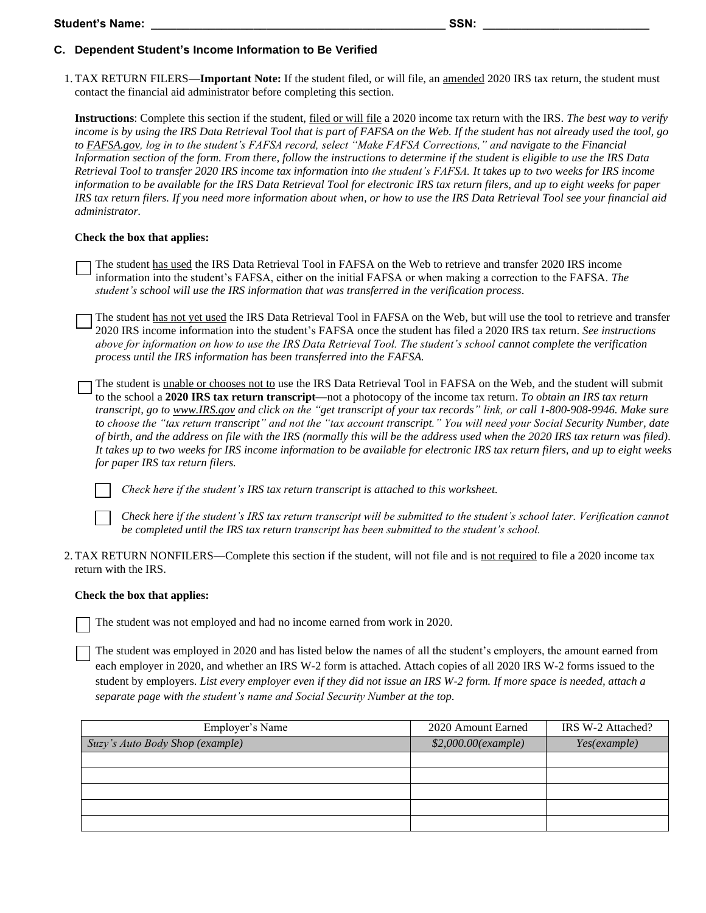## **C. Dependent Student's Income Information to Be Verified**

1.TAX RETURN FILERS—**Important Note:** If the student filed, or will file, an amended 2020 IRS tax return, the student must contact the financial aid administrator before completing this section.

**Instructions**: Complete this section if the student, filed or will file a 2020 income tax return with the IRS. *The best way to verify income is by using the IRS Data Retrieval Tool that is part of FAFSA on the Web. If the student has not already used the tool, go to FAFSA.gov, log in to the student's FAFSA record, select "Make FAFSA Corrections," and navigate to the Financial Information section of the form. From there, follow the instructions to determine if the student is eligible to use the IRS Data Retrieval Tool to transfer 2020 IRS income tax information into the student's FAFSA. It takes up to two weeks for IRS income information to be available for the IRS Data Retrieval Tool for electronic IRS tax return filers, and up to eight weeks for paper IRS tax return filers. If you need more information about when, or how to use the IRS Data Retrieval Tool see your financial aid administrator.*

# **Check the box that applies:**

The student has used the IRS Data Retrieval Tool in FAFSA on the Web to retrieve and transfer 2020 IRS income information into the student's FAFSA, either on the initial FAFSA or when making a correction to the FAFSA. *The student's school will use the IRS information that was transferred in the verification process*.

The student has not yet used the IRS Data Retrieval Tool in FAFSA on the Web, but will use the tool to retrieve and transfer 2020 IRS income information into the student's FAFSA once the student has filed a 2020 IRS tax return. *See instructions above for information on how to use the IRS Data Retrieval Tool. The student's school cannot complete the verification process until the IRS information has been transferred into the FAFSA.*

The student is unable or chooses not to use the IRS Data Retrieval Tool in FAFSA on the Web, and the student will submit to the school a **2020 IRS tax return transcript—**not a photocopy of the income tax return. *To obtain an IRS tax return transcript, go to www.IRS.gov and click on the "get transcript of your tax records" link, or call 1-800-908-9946. Make sure to choose the "tax return transcript" and not the "tax account transcript." You will need your Social Security Number, date of birth, and the address on file with the IRS (normally this will be the address used when the 2020 IRS tax return was filed). It takes up to two weeks for IRS income information to be available for electronic IRS tax return filers, and up to eight weeks for paper IRS tax return filers.*

*Check here if the student's IRS tax return transcript is attached to this worksheet.*

*Check here if the student's IRS tax return transcript will be submitted to the student's school later. Verification cannot be completed until the IRS tax return transcript has been submitted to the student's school.*

2.TAX RETURN NONFILERS—Complete this section if the student, will not file and is not required to file a 2020 income tax return with the IRS.

### **Check the box that applies:**

The student was not employed and had no income earned from work in 2020.

The student was employed in 2020 and has listed below the names of all the student's employers, the amount earned from each employer in 2020, and whether an IRS W-2 form is attached. Attach copies of all 2020 IRS W-2 forms issued to the student by employers. *List every employer even if they did not issue an IRS W-2 form. If more space is needed, attach a separate page with the student's name and Social Security Number at the top*.

| Employer's Name                 | 2020 Amount Earned  | IRS W-2 Attached? |
|---------------------------------|---------------------|-------------------|
| Suzy's Auto Body Shop (example) | \$2,000.00(example) | Yes(example)      |
|                                 |                     |                   |
|                                 |                     |                   |
|                                 |                     |                   |
|                                 |                     |                   |
|                                 |                     |                   |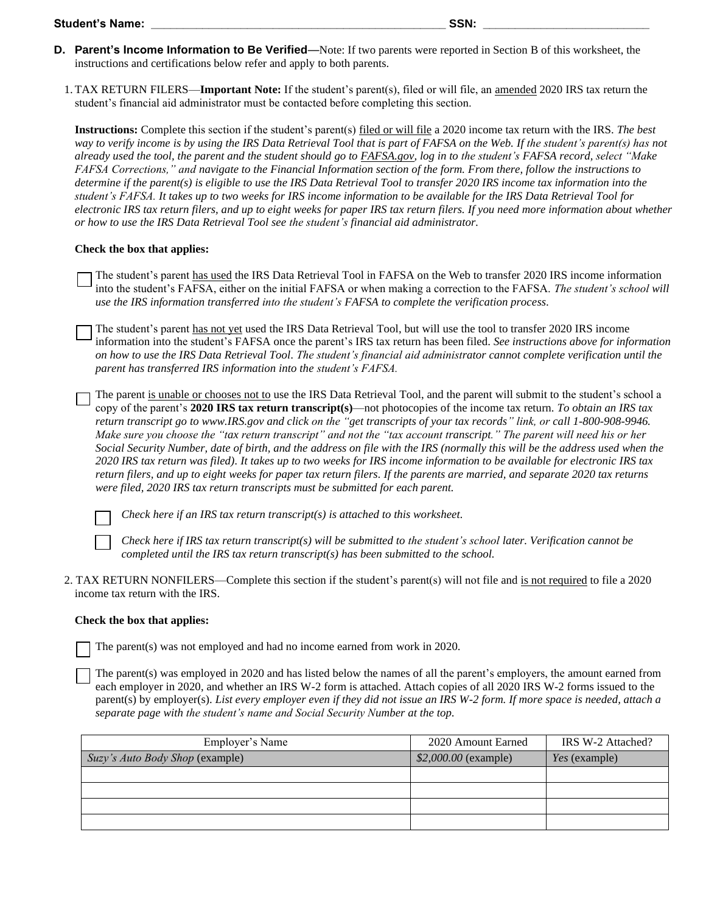- **D. Parent's Income Information to Be Verified**—Note: If two parents were reported in Section B of this worksheet, the instructions and certifications below refer and apply to both parents.
	- 1.TAX RETURN FILERS—**Important Note:** If the student's parent(s), filed or will file, an amended 2020 IRS tax return the student's financial aid administrator must be contacted before completing this section.

**Instructions:** Complete this section if the student's parent(s) filed or will file a 2020 income tax return with the IRS. *The best way to verify income is by using the IRS Data Retrieval Tool that is part of FAFSA on the Web. If the student's parent(s) has not already used the tool, the parent and the student should go to FAFSA.gov, log in to the student's FAFSA record, select "Make FAFSA Corrections," and navigate to the Financial Information section of the form. From there, follow the instructions to determine if the parent(s) is eligible to use the IRS Data Retrieval Tool to transfer 2020 IRS income tax information into the student's FAFSA. It takes up to two weeks for IRS income information to be available for the IRS Data Retrieval Tool for electronic IRS tax return filers, and up to eight weeks for paper IRS tax return filers. If you need more information about whether or how to use the IRS Data Retrieval Tool see the student's financial aid administrator.*

#### **Check the box that applies:**

- The student's parent has used the IRS Data Retrieval Tool in FAFSA on the Web to transfer 2020 IRS income information into the student's FAFSA, either on the initial FAFSA or when making a correction to the FAFSA. *The student's school will use the IRS information transferred into the student's FAFSA to complete the verification process*.
- The student's parent has not yet used the IRS Data Retrieval Tool, but will use the tool to transfer 2020 IRS income information into the student's FAFSA once the parent's IRS tax return has been filed. *See instructions above for information on how to use the IRS Data Retrieval Tool. The student's financial aid administrator cannot complete verification until the parent has transferred IRS information into the student's FAFSA.*
- The parent is unable or chooses not to use the IRS Data Retrieval Tool, and the parent will submit to the student's school a copy of the parent's **2020 IRS tax return transcript(s)**—not photocopies of the income tax return. *To obtain an IRS tax return transcript go to www.IRS.gov and click on the "get transcripts of your tax records" link, or call 1-800-908-9946. Make sure you choose the "tax return transcript" and not the "tax account transcript." The parent will need his or her Social Security Number, date of birth, and the address on file with the IRS (normally this will be the address used when the 2020 IRS tax return was filed). It takes up to two weeks for IRS income information to be available for electronic IRS tax return filers, and up to eight weeks for paper tax return filers. If the parents are married, and separate 2020 tax returns were filed, 2020 IRS tax return transcripts must be submitted for each parent.*

*Check here if an IRS tax return transcript(s) is attached to this worksheet.*

*Check here if IRS tax return transcript(s) will be submitted to the student's school later. Verification cannot be completed until the IRS tax return transcript(s) has been submitted to the school.*

2. TAX RETURN NONFILERS—Complete this section if the student's parent(s) will not file and is not required to file a 2020 income tax return with the IRS.

#### **Check the box that applies:**

The parent(s) was not employed and had no income earned from work in 2020.

The parent(s) was employed in 2020 and has listed below the names of all the parent's employers, the amount earned from each employer in 2020, and whether an IRS W-2 form is attached. Attach copies of all 2020 IRS W-2 forms issued to the parent(s) by employer(s). *List every employer even if they did not issue an IRS W-2 form. If more space is needed, attach a separate page with the student's name and Social Security Number at the top*.

| Employer's Name                 | 2020 Amount Earned    | IRS W-2 Attached?    |
|---------------------------------|-----------------------|----------------------|
| Suzy's Auto Body Shop (example) | $$2,000.00$ (example) | <i>Yes</i> (example) |
|                                 |                       |                      |
|                                 |                       |                      |
|                                 |                       |                      |
|                                 |                       |                      |